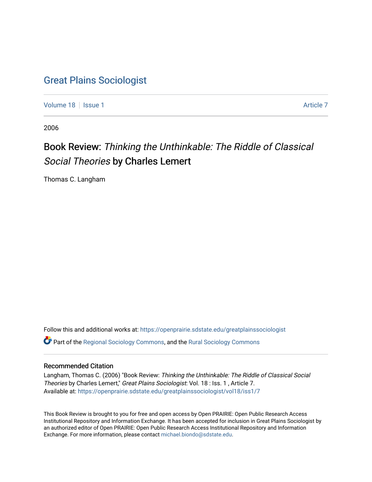### [Great Plains Sociologist](https://openprairie.sdstate.edu/greatplainssociologist)

[Volume 18](https://openprairie.sdstate.edu/greatplainssociologist/vol18) | [Issue 1](https://openprairie.sdstate.edu/greatplainssociologist/vol18/iss1) Article 7

2006

# Book Review: Thinking the Unthinkable: The Riddle of Classical Social Theories by Charles Lemert

Thomas C. Langham

Follow this and additional works at: [https://openprairie.sdstate.edu/greatplainssociologist](https://openprairie.sdstate.edu/greatplainssociologist?utm_source=openprairie.sdstate.edu%2Fgreatplainssociologist%2Fvol18%2Fiss1%2F7&utm_medium=PDF&utm_campaign=PDFCoverPages)  Part of the [Regional Sociology Commons](http://network.bepress.com/hgg/discipline/427?utm_source=openprairie.sdstate.edu%2Fgreatplainssociologist%2Fvol18%2Fiss1%2F7&utm_medium=PDF&utm_campaign=PDFCoverPages), and the [Rural Sociology Commons](http://network.bepress.com/hgg/discipline/428?utm_source=openprairie.sdstate.edu%2Fgreatplainssociologist%2Fvol18%2Fiss1%2F7&utm_medium=PDF&utm_campaign=PDFCoverPages) 

#### Recommended Citation

Langham, Thomas C. (2006) "Book Review: Thinking the Unthinkable: The Riddle of Classical Social Theories by Charles Lemert," Great Plains Sociologist: Vol. 18 : Iss. 1, Article 7. Available at: [https://openprairie.sdstate.edu/greatplainssociologist/vol18/iss1/7](https://openprairie.sdstate.edu/greatplainssociologist/vol18/iss1/7?utm_source=openprairie.sdstate.edu%2Fgreatplainssociologist%2Fvol18%2Fiss1%2F7&utm_medium=PDF&utm_campaign=PDFCoverPages)

This Book Review is brought to you for free and open access by Open PRAIRIE: Open Public Research Access Institutional Repository and Information Exchange. It has been accepted for inclusion in Great Plains Sociologist by an authorized editor of Open PRAIRIE: Open Public Research Access Institutional Repository and Information Exchange. For more information, please contact [michael.biondo@sdstate.edu.](mailto:michael.biondo@sdstate.edu)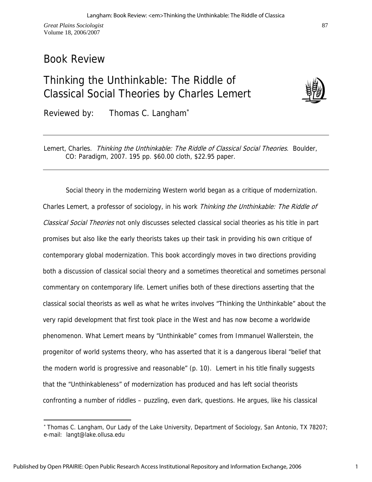*Great Plains Sociologist*  Volume 18, 2006/2007

### Book Review

 $\overline{a}$ 

## Thinking the Unthinkable: The Riddle of Classical Social Theories by Charles Lemert



87

Reviewed by: Thomas C. Langham<sup>\*</sup>

Lemert, Charles. Thinking the Unthinkable: The Riddle of Classical Social Theories. Boulder, CO: Paradigm, 2007. 195 pp. \$60.00 cloth, \$22.95 paper.

Social theory in the modernizing Western world began as a critique of modernization. Charles Lemert, a professor of sociology, in his work *Thinking the Unthinkable: The Riddle of* Classical Social Theories not only discusses selected classical social theories as his title in part promises but also like the early theorists takes up their task in providing his own critique of contemporary global modernization. This book accordingly moves in two directions providing both a discussion of classical social theory and a sometimes theoretical and sometimes personal commentary on contemporary life. Lemert unifies both of these directions asserting that the classical social theorists as well as what he writes involves "Thinking the Unthinkable" about the very rapid development that first took place in the West and has now become a worldwide phenomenon. What Lemert means by "Unthinkable" comes from Immanuel Wallerstein, the progenitor of world systems theory, who has asserted that it is a dangerous liberal "belief that the modern world is progressive and reasonable" (p. 10). Lemert in his title finally suggests that the "Unthinkableness" of modernization has produced and has left social theorists confronting a number of riddles – puzzling, even dark, questions. He argues, like his classical

<sup>∗</sup> Thomas C. Langham, Our Lady of the Lake University, Department of Sociology, San Antonio, TX 78207; e-mail: langt@lake.ollusa.edu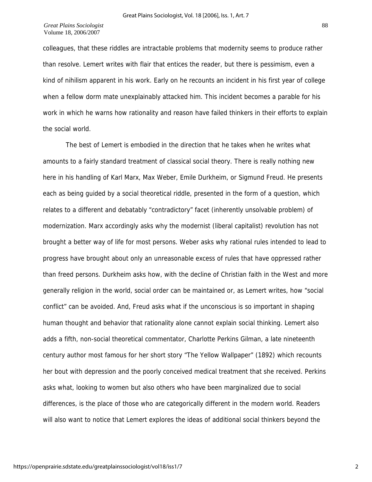colleagues, that these riddles are intractable problems that modernity seems to produce rather than resolve. Lemert writes with flair that entices the reader, but there is pessimism, even a kind of nihilism apparent in his work. Early on he recounts an incident in his first year of college when a fellow dorm mate unexplainably attacked him. This incident becomes a parable for his work in which he warns how rationality and reason have failed thinkers in their efforts to explain the social world.

The best of Lemert is embodied in the direction that he takes when he writes what amounts to a fairly standard treatment of classical social theory. There is really nothing new here in his handling of Karl Marx, Max Weber, Emile Durkheim, or Sigmund Freud. He presents each as being guided by a social theoretical riddle, presented in the form of a question, which relates to a different and debatably "contradictory" facet (inherently unsolvable problem) of modernization. Marx accordingly asks why the modernist (liberal capitalist) revolution has not brought a better way of life for most persons. Weber asks why rational rules intended to lead to progress have brought about only an unreasonable excess of rules that have oppressed rather than freed persons. Durkheim asks how, with the decline of Christian faith in the West and more generally religion in the world, social order can be maintained or, as Lemert writes, how "social conflict" can be avoided. And, Freud asks what if the unconscious is so important in shaping human thought and behavior that rationality alone cannot explain social thinking. Lemert also adds a fifth, non-social theoretical commentator, Charlotte Perkins Gilman, a late nineteenth century author most famous for her short story "The Yellow Wallpaper" (1892) which recounts her bout with depression and the poorly conceived medical treatment that she received. Perkins asks what, looking to women but also others who have been marginalized due to social differences, is the place of those who are categorically different in the modern world. Readers will also want to notice that Lemert explores the ideas of additional social thinkers beyond the

2

88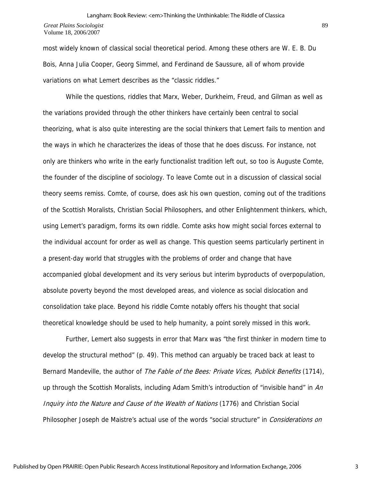#### *Great Plains Sociologist*  Volume 18, 2006/2007 Langham: Book Review: <em>Thinking the Unthinkable: The Riddle of Classica

most widely known of classical social theoretical period. Among these others are W. E. B. Du Bois, Anna Julia Cooper, Georg Simmel, and Ferdinand de Saussure, all of whom provide variations on what Lemert describes as the "classic riddles."

While the questions, riddles that Marx, Weber, Durkheim, Freud, and Gilman as well as the variations provided through the other thinkers have certainly been central to social theorizing, what is also quite interesting are the social thinkers that Lemert fails to mention and the ways in which he characterizes the ideas of those that he does discuss. For instance, not only are thinkers who write in the early functionalist tradition left out, so too is Auguste Comte, the founder of the discipline of sociology. To leave Comte out in a discussion of classical social theory seems remiss. Comte, of course, does ask his own question, coming out of the traditions of the Scottish Moralists, Christian Social Philosophers, and other Enlightenment thinkers, which, using Lemert's paradigm, forms its own riddle. Comte asks how might social forces external to the individual account for order as well as change. This question seems particularly pertinent in a present-day world that struggles with the problems of order and change that have accompanied global development and its very serious but interim byproducts of overpopulation, absolute poverty beyond the most developed areas, and violence as social dislocation and consolidation take place. Beyond his riddle Comte notably offers his thought that social theoretical knowledge should be used to help humanity, a point sorely missed in this work.

Further, Lemert also suggests in error that Marx was "the first thinker in modern time to develop the structural method" (p. 49). This method can arguably be traced back at least to Bernard Mandeville, the author of The Fable of the Bees: Private Vices, Publick Benefits (1714), up through the Scottish Moralists, including Adam Smith's introduction of "invisible hand" in An Inquiry into the Nature and Cause of the Wealth of Nations (1776) and Christian Social Philosopher Joseph de Maistre's actual use of the words "social structure" in *Considerations on*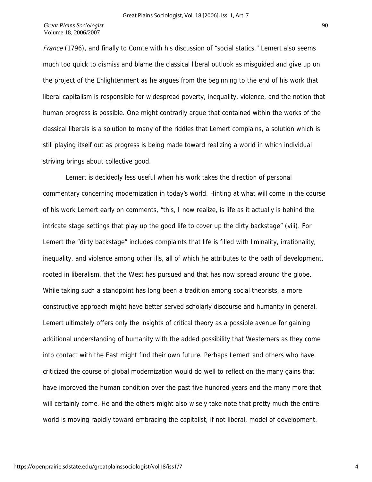France (1796), and finally to Comte with his discussion of "social statics." Lemert also seems much too quick to dismiss and blame the classical liberal outlook as misguided and give up on the project of the Enlightenment as he argues from the beginning to the end of his work that liberal capitalism is responsible for widespread poverty, inequality, violence, and the notion that human progress is possible. One might contrarily argue that contained within the works of the classical liberals is a solution to many of the riddles that Lemert complains, a solution which is still playing itself out as progress is being made toward realizing a world in which individual striving brings about collective good.

Lemert is decidedly less useful when his work takes the direction of personal commentary concerning modernization in today's world. Hinting at what will come in the course of his work Lemert early on comments, "this, I now realize, is life as it actually is behind the intricate stage settings that play up the good life to cover up the dirty backstage" (viii). For Lemert the "dirty backstage" includes complaints that life is filled with liminality, irrationality, inequality, and violence among other ills, all of which he attributes to the path of development, rooted in liberalism, that the West has pursued and that has now spread around the globe. While taking such a standpoint has long been a tradition among social theorists, a more constructive approach might have better served scholarly discourse and humanity in general. Lemert ultimately offers only the insights of critical theory as a possible avenue for gaining additional understanding of humanity with the added possibility that Westerners as they come into contact with the East might find their own future. Perhaps Lemert and others who have criticized the course of global modernization would do well to reflect on the many gains that have improved the human condition over the past five hundred years and the many more that will certainly come. He and the others might also wisely take note that pretty much the entire world is moving rapidly toward embracing the capitalist, if not liberal, model of development.

4

90